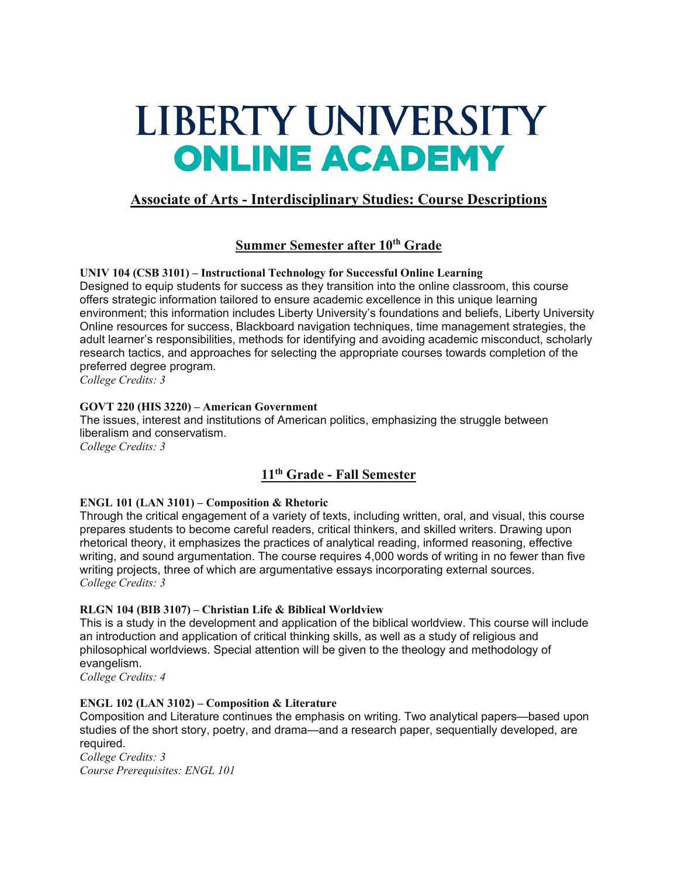# LIBERTY UNIVERSITY **ONLINE ACADEMY**

# **Associate of Arts - Interdisciplinary Studies: Course Descriptions**

## **Summer Semester after 10th Grade**

**UNIV 104 (CSB 3101) – Instructional Technology for Successful Online Learning** Designed to equip students for success as they transition into the online classroom, this course offers strategic information tailored to ensure academic excellence in this unique learning environment; this information includes Liberty University's foundations and beliefs, Liberty University Online resources for success, Blackboard navigation techniques, time management strategies, the adult learner's responsibilities, methods for identifying and avoiding academic misconduct, scholarly research tactics, and approaches for selecting the appropriate courses towards completion of the preferred degree program.

*College Credits: 3*

#### **GOVT 220 (HIS 3220) – American Government**

The issues, interest and institutions of American politics, emphasizing the struggle between liberalism and conservatism.

*College Credits: 3*

# **11th Grade - Fall Semester**

#### **ENGL 101 (LAN 3101) – Composition & Rhetoric**

Through the critical engagement of a variety of texts, including written, oral, and visual, this course prepares students to become careful readers, critical thinkers, and skilled writers. Drawing upon rhetorical theory, it emphasizes the practices of analytical reading, informed reasoning, effective writing, and sound argumentation. The course requires 4,000 words of writing in no fewer than five writing projects, three of which are argumentative essays incorporating external sources. *College Credits: 3*

#### **RLGN 104 (BIB 3107) – Christian Life & Biblical Worldview**

This is a study in the development and application of the biblical worldview. This course will include an introduction and application of critical thinking skills, as well as a study of religious and philosophical worldviews. Special attention will be given to the theology and methodology of evangelism.

*College Credits: 4*

#### **ENGL 102 (LAN 3102) – Composition & Literature**

Composition and Literature continues the emphasis on writing. Two analytical papers—based upon studies of the short story, poetry, and drama—and a research paper, sequentially developed, are required.

*College Credits: 3 Course Prerequisites: ENGL 101*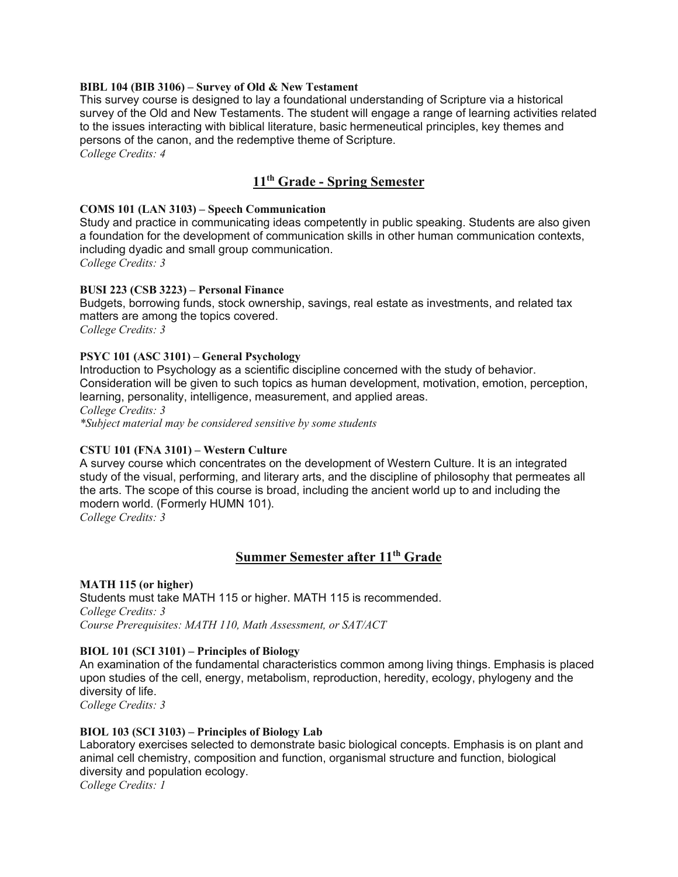#### **BIBL 104 (BIB 3106) – Survey of Old & New Testament**

This survey course is designed to lay a foundational understanding of Scripture via a historical survey of the Old and New Testaments. The student will engage a range of learning activities related to the issues interacting with biblical literature, basic hermeneutical principles, key themes and persons of the canon, and the redemptive theme of Scripture.

*College Credits: 4*

## **11th Grade - Spring Semester**

#### **COMS 101 (LAN 3103) – Speech Communication**

Study and practice in communicating ideas competently in public speaking. Students are also given a foundation for the development of communication skills in other human communication contexts, including dyadic and small group communication.

*College Credits: 3*

#### **BUSI 223 (CSB 3223) – Personal Finance**

Budgets, borrowing funds, stock ownership, savings, real estate as investments, and related tax matters are among the topics covered. *College Credits: 3*

#### **PSYC 101 (ASC 3101) – General Psychology**

Introduction to Psychology as a scientific discipline concerned with the study of behavior. Consideration will be given to such topics as human development, motivation, emotion, perception, learning, personality, intelligence, measurement, and applied areas. *College Credits: 3 \*Subject material may be considered sensitive by some students*

#### **CSTU 101 (FNA 3101) – Western Culture**

A survey course which concentrates on the development of Western Culture. It is an integrated study of the visual, performing, and literary arts, and the discipline of philosophy that permeates all the arts. The scope of this course is broad, including the ancient world up to and including the modern world. (Formerly HUMN 101).

*College Credits: 3*

#### **Summer Semester after 11th Grade**

**MATH 115 (or higher)** Students must take MATH 115 or higher. MATH 115 is recommended. *College Credits: 3 Course Prerequisites: MATH 110, Math Assessment, or SAT/ACT*

#### **BIOL 101 (SCI 3101) – Principles of Biology**

An examination of the fundamental characteristics common among living things. Emphasis is placed upon studies of the cell, energy, metabolism, reproduction, heredity, ecology, phylogeny and the diversity of life.

*College Credits: 3*

#### **BIOL 103 (SCI 3103) – Principles of Biology Lab**

Laboratory exercises selected to demonstrate basic biological concepts. Emphasis is on plant and animal cell chemistry, composition and function, organismal structure and function, biological diversity and population ecology.

*College Credits: 1*